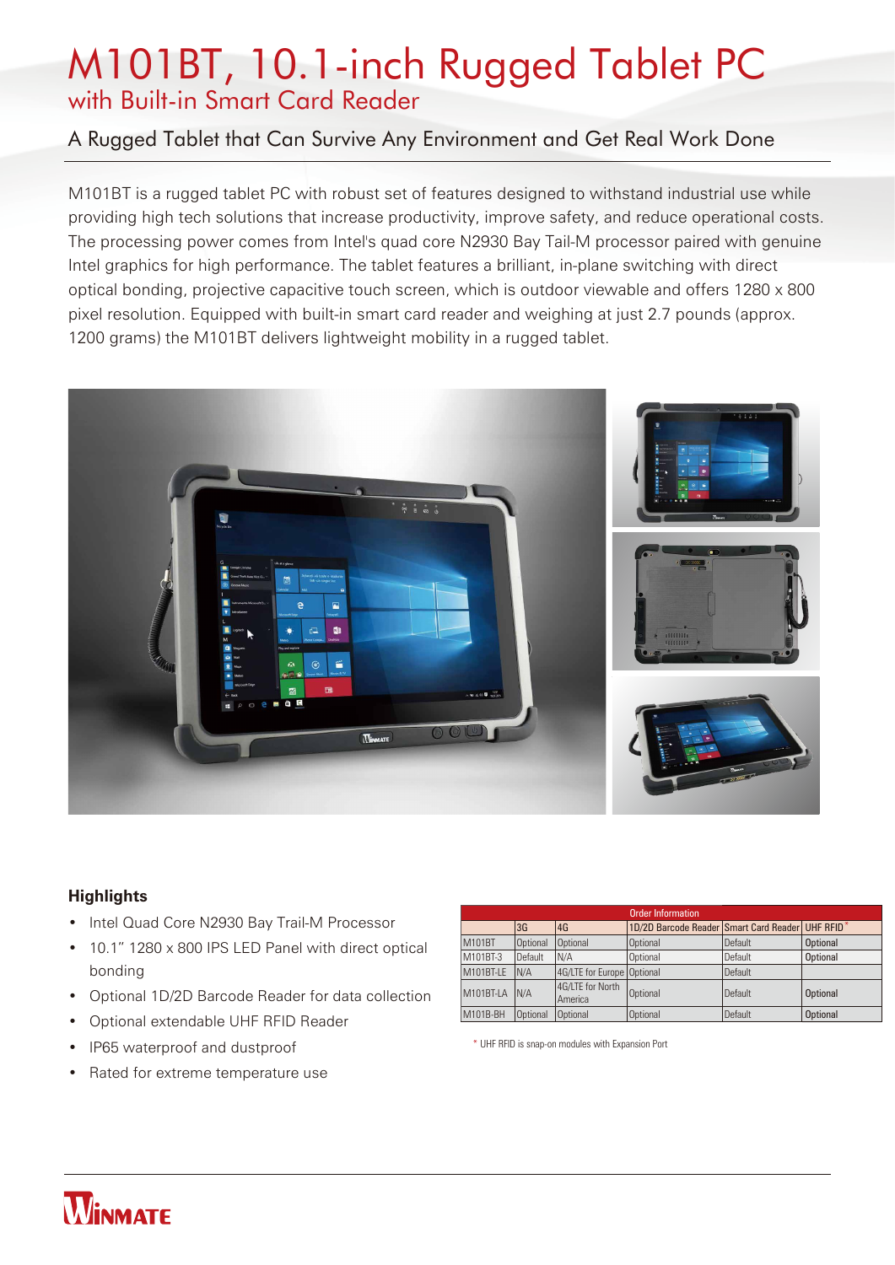# M101BT, 10.1-inch Rugged Tablet PC with Built-in Smart Card Reader

## A Rugged Tablet that Can Survive Any Environment and Get Real Work Done

M101BT is a rugged tablet PC with robust set of features designed to withstand industrial use while providing high tech solutions that increase productivity, improve safety, and reduce operational costs. The processing power comes from Intel's quad core N2930 Bay Tail-M processor paired with genuine Intel graphics for high performance. The tablet features a brilliant, in-plane switching with direct optical bonding, projective capacitive touch screen, which is outdoor viewable and offers 1280 x 800 pixel resolution. Equipped with built-in smart card reader and weighing at just 2.7 pounds (approx. 1200 grams) the M101BT delivers lightweight mobility in a rugged tablet.



## **Highlights**

- Intel Quad Core N2930 Bay Trail-M Processor
- 10.1" 1280 x 800 IPS LED Panel with direct optical bonding
- Optional 1D/2D Barcode Reader for data collection
- Optional extendable UHF RFID Reader
- IP65 waterproof and dustproof
- Rated for extreme temperature use

| <b>Order Information</b> |          |                             |                                                  |         |                 |  |
|--------------------------|----------|-----------------------------|--------------------------------------------------|---------|-----------------|--|
|                          | 3G       | 4G                          | 1D/2D Barcode Reader Smart Card Reader UHF RFID* |         |                 |  |
| M101BT                   | Optional | <b>Optional</b>             | Optional                                         | Default | <b>Optional</b> |  |
| M101BT-3                 | Default  | IN/A                        | Optional                                         | Default | <b>Optional</b> |  |
| M101BT-LE                | N/A      | 4G/LTE for Europe Optional  |                                                  | Default |                 |  |
| M101BT-LA                | IN/A     | 4G/LTE for North<br>America | Optional                                         | Default | <b>Optional</b> |  |
| M101B-BH                 | Optional | <b>Optional</b>             | Optional                                         | Default | <b>Optional</b> |  |

\* UHF RFID is snap-on modules with Expansion Port